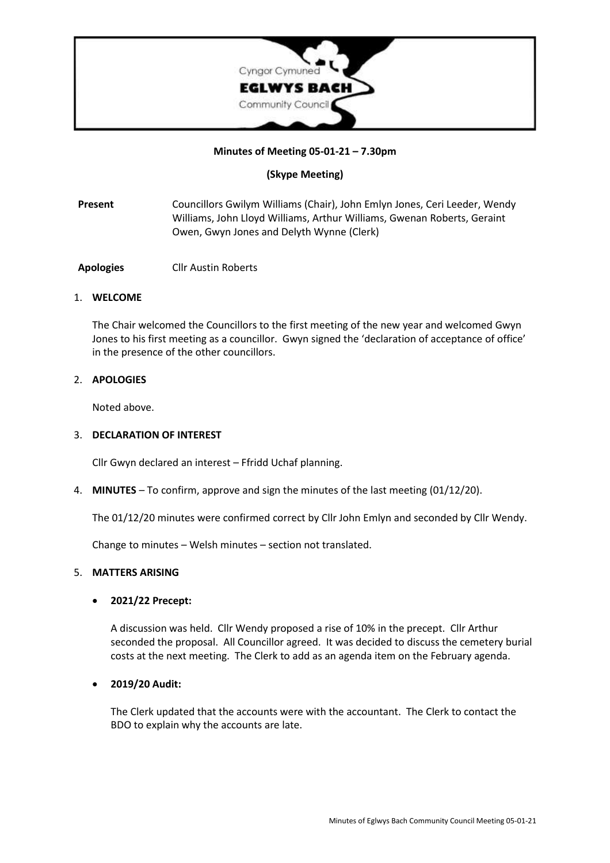

#### **Minutes of Meeting 05-01-21 – 7.30pm**

### **(Skype Meeting)**

- **Present** Councillors Gwilym Williams (Chair), John Emlyn Jones, Ceri Leeder, Wendy Williams, John Lloyd Williams, Arthur Williams, Gwenan Roberts, Geraint Owen, Gwyn Jones and Delyth Wynne (Clerk)
- **Apologies** Cllr Austin Roberts

#### 1. **WELCOME**

The Chair welcomed the Councillors to the first meeting of the new year and welcomed Gwyn Jones to his first meeting as a councillor. Gwyn signed the 'declaration of acceptance of office' in the presence of the other councillors.

#### 2. **APOLOGIES**

Noted above.

# 3. **DECLARATION OF INTEREST**

Cllr Gwyn declared an interest – Ffridd Uchaf planning.

4. **MINUTES** – To confirm, approve and sign the minutes of the last meeting (01/12/20).

The 01/12/20 minutes were confirmed correct by Cllr John Emlyn and seconded by Cllr Wendy.

Change to minutes – Welsh minutes – section not translated.

#### 5. **MATTERS ARISING**

#### • **2021/22 Precept:**

A discussion was held. Cllr Wendy proposed a rise of 10% in the precept. Cllr Arthur seconded the proposal. All Councillor agreed. It was decided to discuss the cemetery burial costs at the next meeting. The Clerk to add as an agenda item on the February agenda.

#### • **2019/20 Audit:**

The Clerk updated that the accounts were with the accountant. The Clerk to contact the BDO to explain why the accounts are late.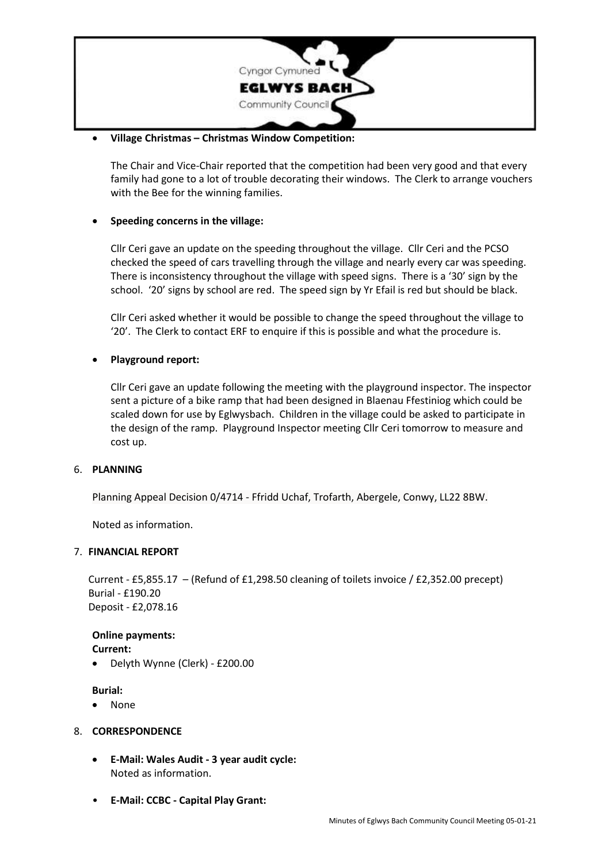

### • **Village Christmas – Christmas Window Competition:**

The Chair and Vice-Chair reported that the competition had been very good and that every family had gone to a lot of trouble decorating their windows. The Clerk to arrange vouchers with the Bee for the winning families.

# • **Speeding concerns in the village:**

Cllr Ceri gave an update on the speeding throughout the village. Cllr Ceri and the PCSO checked the speed of cars travelling through the village and nearly every car was speeding. There is inconsistency throughout the village with speed signs. There is a '30' sign by the school. '20' signs by school are red. The speed sign by Yr Efail is red but should be black.

Cllr Ceri asked whether it would be possible to change the speed throughout the village to '20'. The Clerk to contact ERF to enquire if this is possible and what the procedure is.

# • **Playground report:**

Cllr Ceri gave an update following the meeting with the playground inspector. The inspector sent a picture of a bike ramp that had been designed in Blaenau Ffestiniog which could be scaled down for use by Eglwysbach. Children in the village could be asked to participate in the design of the ramp. Playground Inspector meeting Cllr Ceri tomorrow to measure and cost up.

### 6. **PLANNING**

Planning Appeal Decision 0/4714 - Ffridd Uchaf, Trofarth, Abergele, Conwy, LL22 8BW.

Noted as information.

### 7. **FINANCIAL REPORT**

Current - £5,855.17 – (Refund of £1,298.50 cleaning of toilets invoice / £2,352.00 precept) Burial - £190.20 Deposit - £2,078.16

**Online payments:**

- **Current:**
- Delyth Wynne (Clerk) £200.00

**Burial:**

• None

### 8. **CORRESPONDENCE**

- **E-Mail: Wales Audit - 3 year audit cycle:** Noted as information.
- **E-Mail: CCBC - Capital Play Grant:**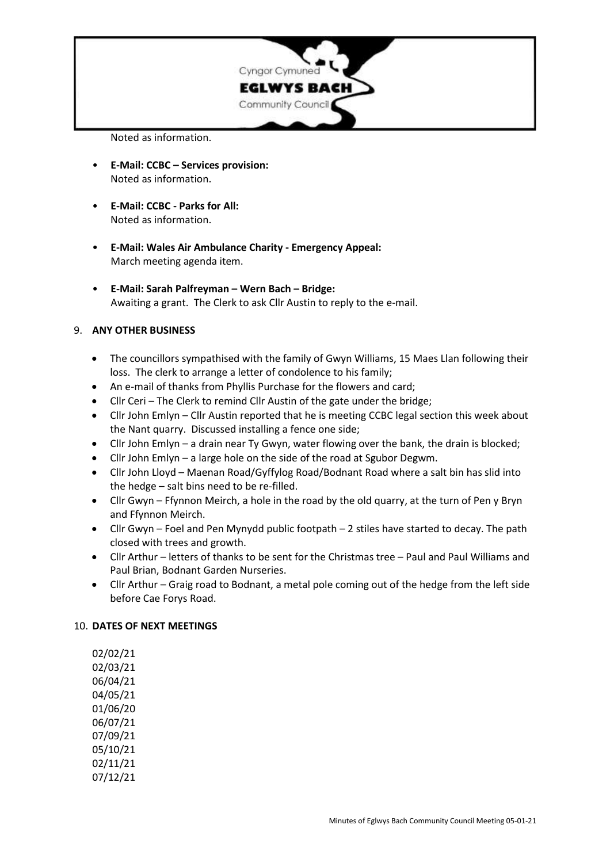

Noted as information.

- **E-Mail: CCBC – Services provision:** Noted as information.
- **E-Mail: CCBC - Parks for All:** Noted as information.
- **E-Mail: Wales Air Ambulance Charity - Emergency Appeal:** March meeting agenda item.
- **E-Mail: Sarah Palfreyman – Wern Bach – Bridge:** Awaiting a grant. The Clerk to ask Cllr Austin to reply to the e-mail.

# 9. **ANY OTHER BUSINESS**

- The councillors sympathised with the family of Gwyn Williams, 15 Maes Llan following their loss. The clerk to arrange a letter of condolence to his family;
- An e-mail of thanks from Phyllis Purchase for the flowers and card;
- Cllr Ceri The Clerk to remind Cllr Austin of the gate under the bridge;
- Cllr John Emlyn Cllr Austin reported that he is meeting CCBC legal section this week about the Nant quarry. Discussed installing a fence one side;
- Cllr John Emlyn a drain near Ty Gwyn, water flowing over the bank, the drain is blocked;
- Cllr John Emlyn a large hole on the side of the road at Sgubor Degwm.
- Cllr John Lloyd Maenan Road/Gyffylog Road/Bodnant Road where a salt bin has slid into the hedge – salt bins need to be re-filled.
- Cllr Gwyn Ffynnon Meirch, a hole in the road by the old quarry, at the turn of Pen y Bryn and Ffynnon Meirch.
- Cllr Gwyn Foel and Pen Mynydd public footpath 2 stiles have started to decay. The path closed with trees and growth.
- Cllr Arthur letters of thanks to be sent for the Christmas tree Paul and Paul Williams and Paul Brian, Bodnant Garden Nurseries.
- Cllr Arthur Graig road to Bodnant, a metal pole coming out of the hedge from the left side before Cae Forys Road.

### 10. **DATES OF NEXT MEETINGS**

02/02/21 02/03/21 06/04/21 04/05/21 01/06/20 06/07/21 07/09/21 05/10/21 02/11/21 07/12/21